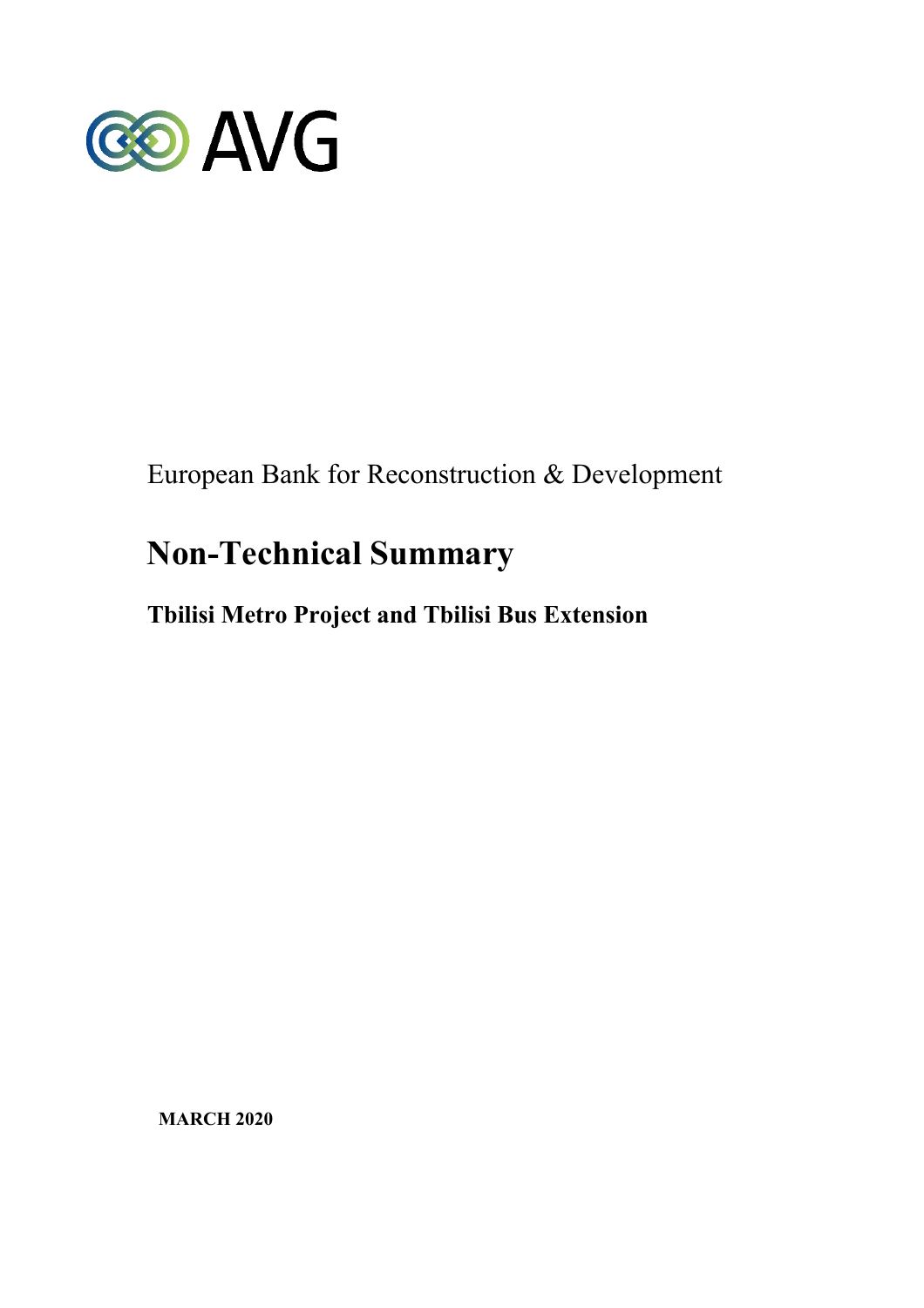

European Bank for Reconstruction & Development

# **Non-Technical Summary**

## **Tbilisi Metro Project and Tbilisi Bus Extension**

**MARCH 2020**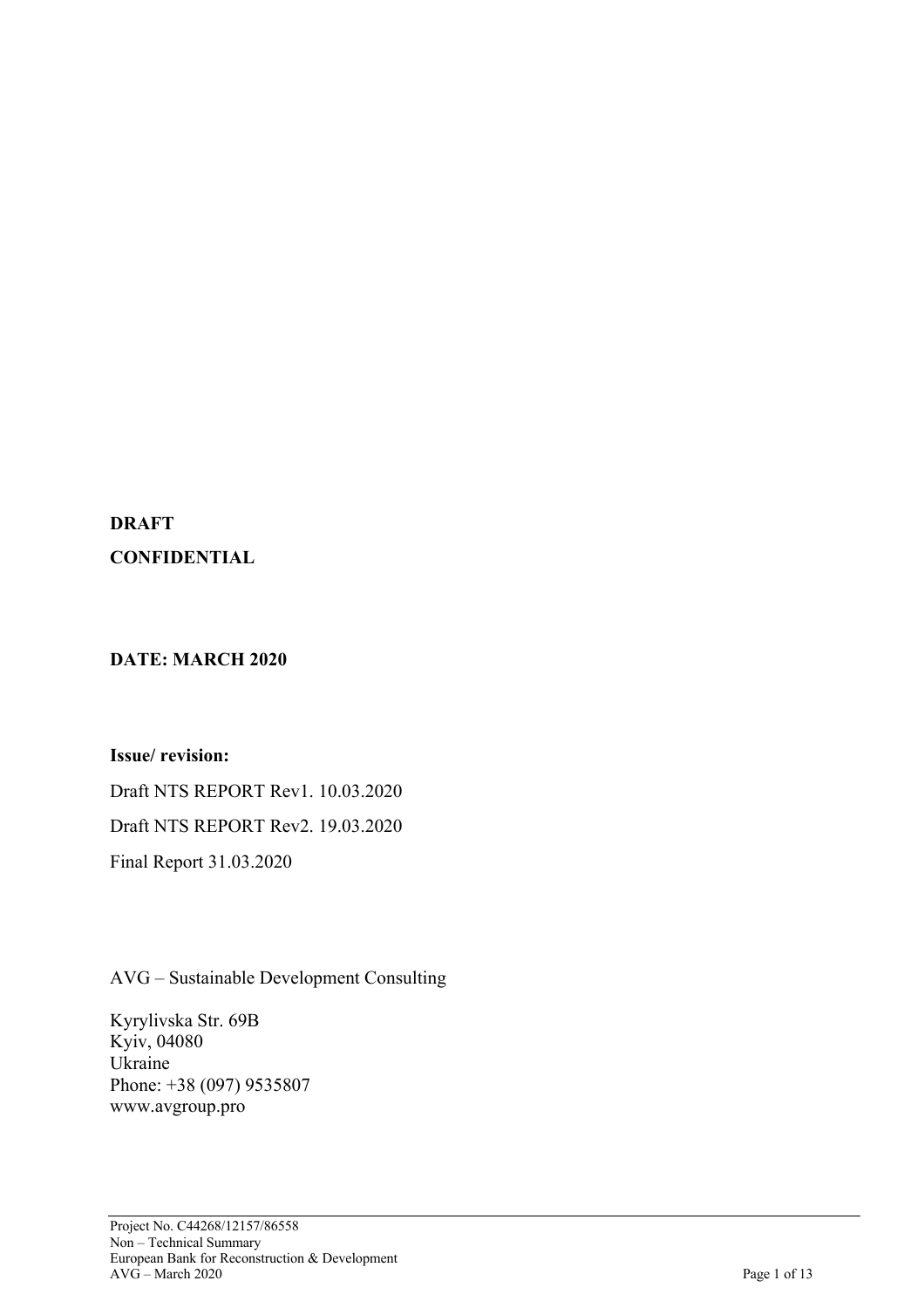## **DRAFT CONFIDENTIAL**

## **DATE: MARCH 2020**

**Issue/ revision:** 

Draft NTS REPORT Rev1. 10.03.2020 Draft NTS REPORT Rev2. 19.03.2020 Final Report 31.03.2020

AVG – Sustainable Development Consulting

Kyrylivska Str. 69B Kyiv, 04080 Ukraine Phone: +38 (097) 9535807 www.avgroup.pro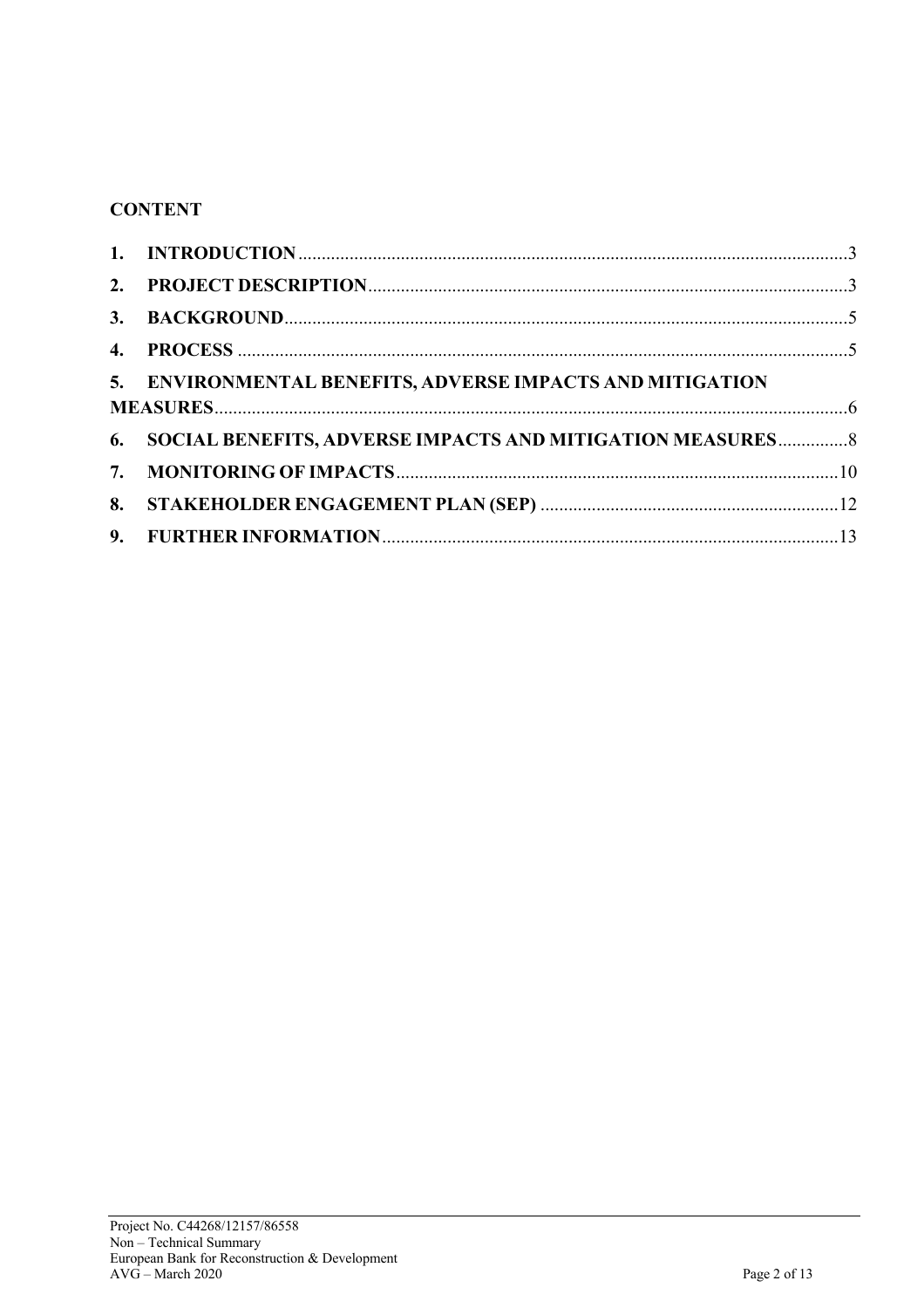## **CONTENT**

| 5. ENVIRONMENTAL BENEFITS, ADVERSE IMPACTS AND MITIGATION     |  |
|---------------------------------------------------------------|--|
| 6. SOCIAL BENEFITS, ADVERSE IMPACTS AND MITIGATION MEASURES 8 |  |
|                                                               |  |
|                                                               |  |
|                                                               |  |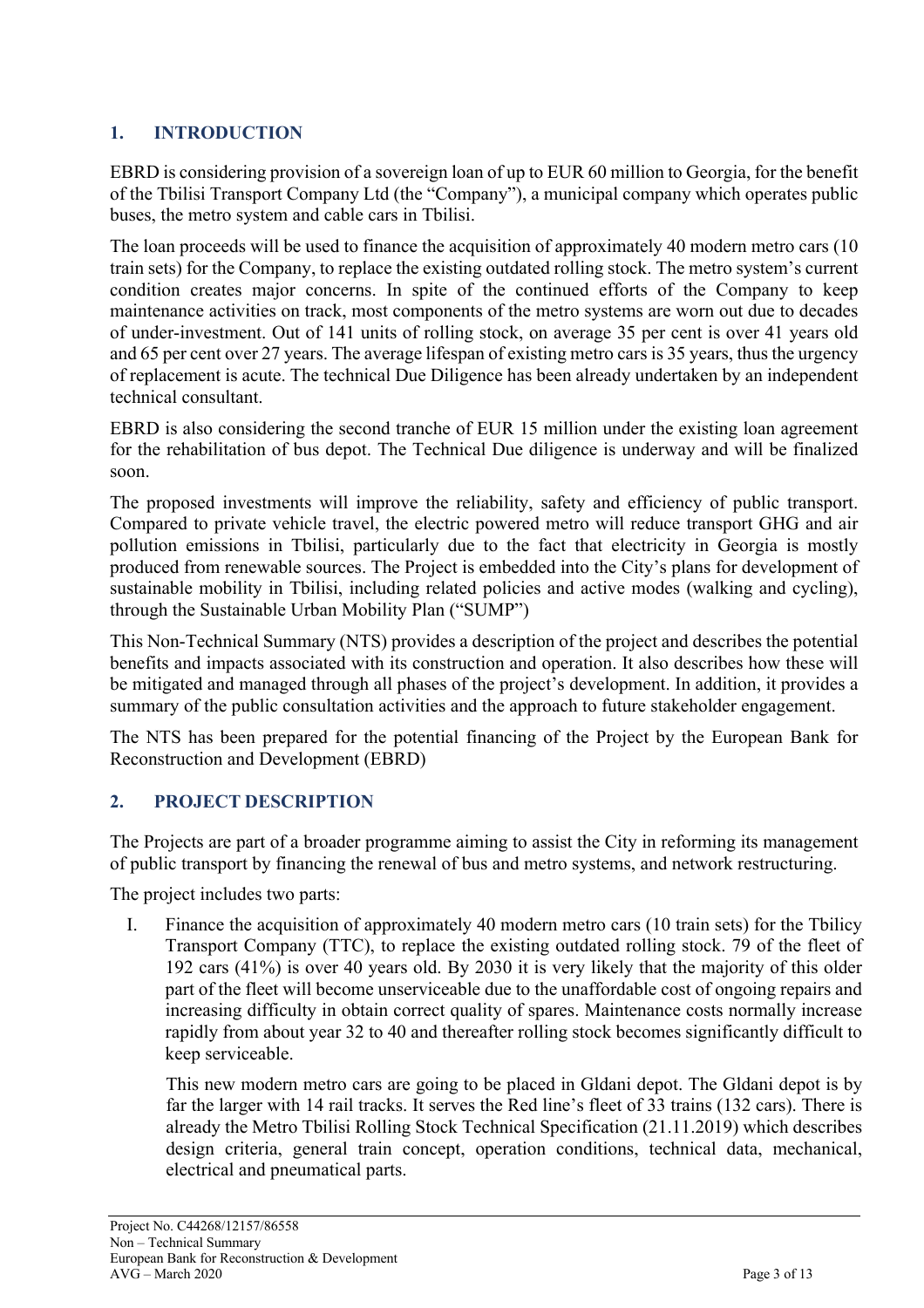## **1. INTRODUCTION**

EBRD is considering provision of a sovereign loan of up to EUR 60 million to Georgia, for the benefit of the Tbilisi Transport Company Ltd (the "Company"), a municipal company which operates public buses, the metro system and cable cars in Tbilisi.

The loan proceeds will be used to finance the acquisition of approximately 40 modern metro cars (10 train sets) for the Company, to replace the existing outdated rolling stock. The metro system's current condition creates major concerns. In spite of the continued efforts of the Company to keep maintenance activities on track, most components of the metro systems are worn out due to decades of under-investment. Out of 141 units of rolling stock, on average 35 per cent is over 41 years old and 65 per cent over 27 years. The average lifespan of existing metro cars is 35 years, thus the urgency of replacement is acute. The technical Due Diligence has been already undertaken by an independent technical consultant.

EBRD is also considering the second tranche of EUR 15 million under the existing loan agreement for the rehabilitation of bus depot. The Technical Due diligence is underway and will be finalized soon.

The proposed investments will improve the reliability, safety and efficiency of public transport. Compared to private vehicle travel, the electric powered metro will reduce transport GHG and air pollution emissions in Tbilisi, particularly due to the fact that electricity in Georgia is mostly produced from renewable sources. The Project is embedded into the City's plans for development of sustainable mobility in Tbilisi, including related policies and active modes (walking and cycling), through the Sustainable Urban Mobility Plan ("SUMP")

This Non-Technical Summary (NTS) provides a description of the project and describes the potential benefits and impacts associated with its construction and operation. It also describes how these will be mitigated and managed through all phases of the project's development. In addition, it provides a summary of the public consultation activities and the approach to future stakeholder engagement.

The NTS has been prepared for the potential financing of the Project by the European Bank for Reconstruction and Development (EBRD)

## **2. PROJECT DESCRIPTION**

The Projects are part of a broader programme aiming to assist the City in reforming its management of public transport by financing the renewal of bus and metro systems, and network restructuring.

The project includes two parts:

I. Finance the acquisition of approximately 40 modern metro cars (10 train sets) for the Tbilicy Transport Company (TTC), to replace the existing outdated rolling stock. 79 of the fleet of 192 cars (41%) is over 40 years old. By 2030 it is very likely that the majority of this older part of the fleet will become unserviceable due to the unaffordable cost of ongoing repairs and increasing difficulty in obtain correct quality of spares. Maintenance costs normally increase rapidly from about year 32 to 40 and thereafter rolling stock becomes significantly difficult to keep serviceable.

This new modern metro cars are going to be placed in Gldani depot. The Gldani depot is by far the larger with 14 rail tracks. It serves the Red line's fleet of 33 trains (132 cars). There is already the Metro Tbilisi Rolling Stock Technical Specification (21.11.2019) which describes design criteria, general train concept, operation conditions, technical data, mechanical, electrical and pneumatical parts.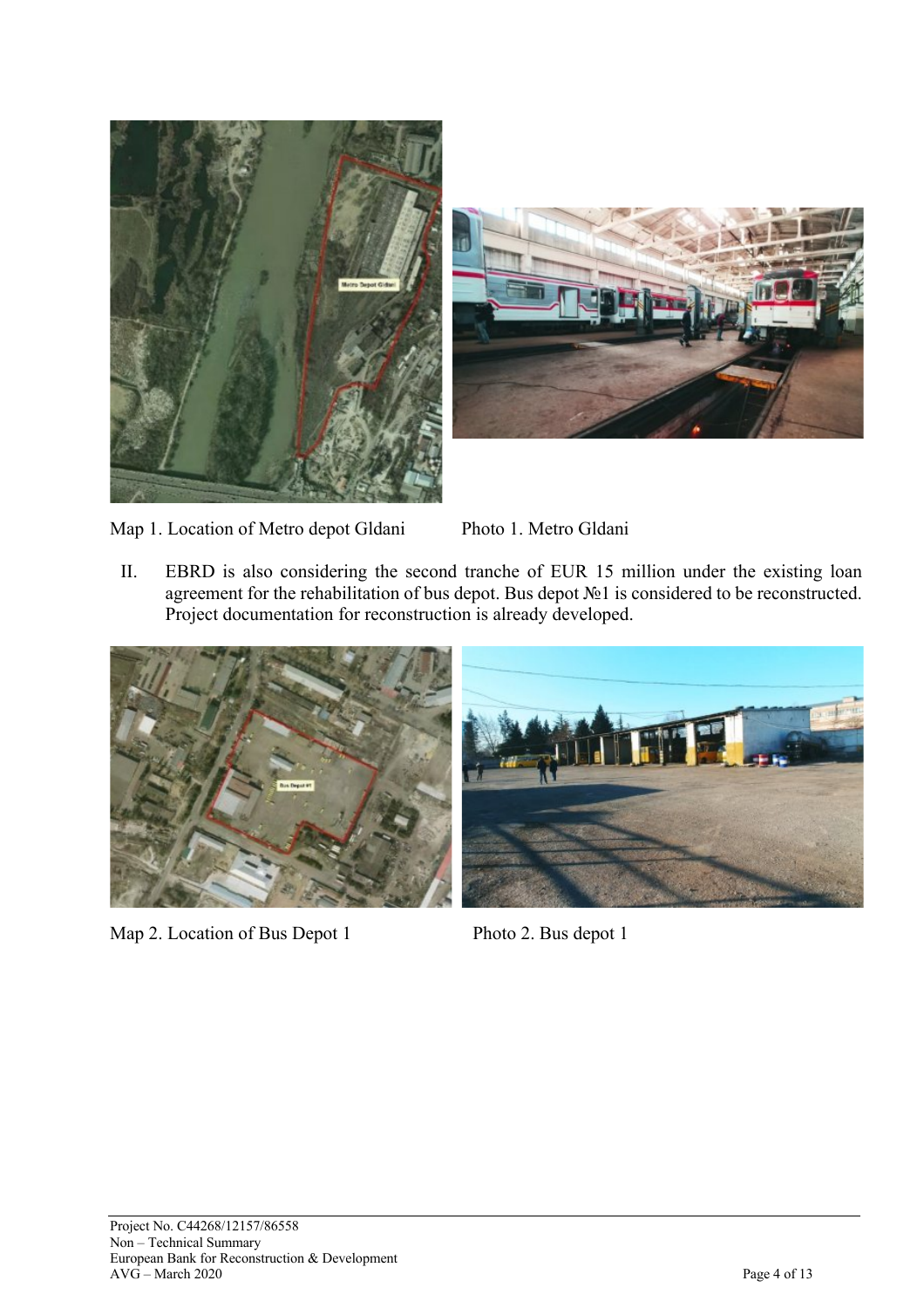



Map 1. Location of Metro depot Gldani Photo 1. Metro Gldani

II. EBRD is also considering the second tranche of EUR 15 million under the existing loan agreement for the rehabilitation of bus depot. Bus depot №1 is considered to be reconstructed. Project documentation for reconstruction is already developed.



Map 2. Location of Bus Depot 1 Photo 2. Bus depot 1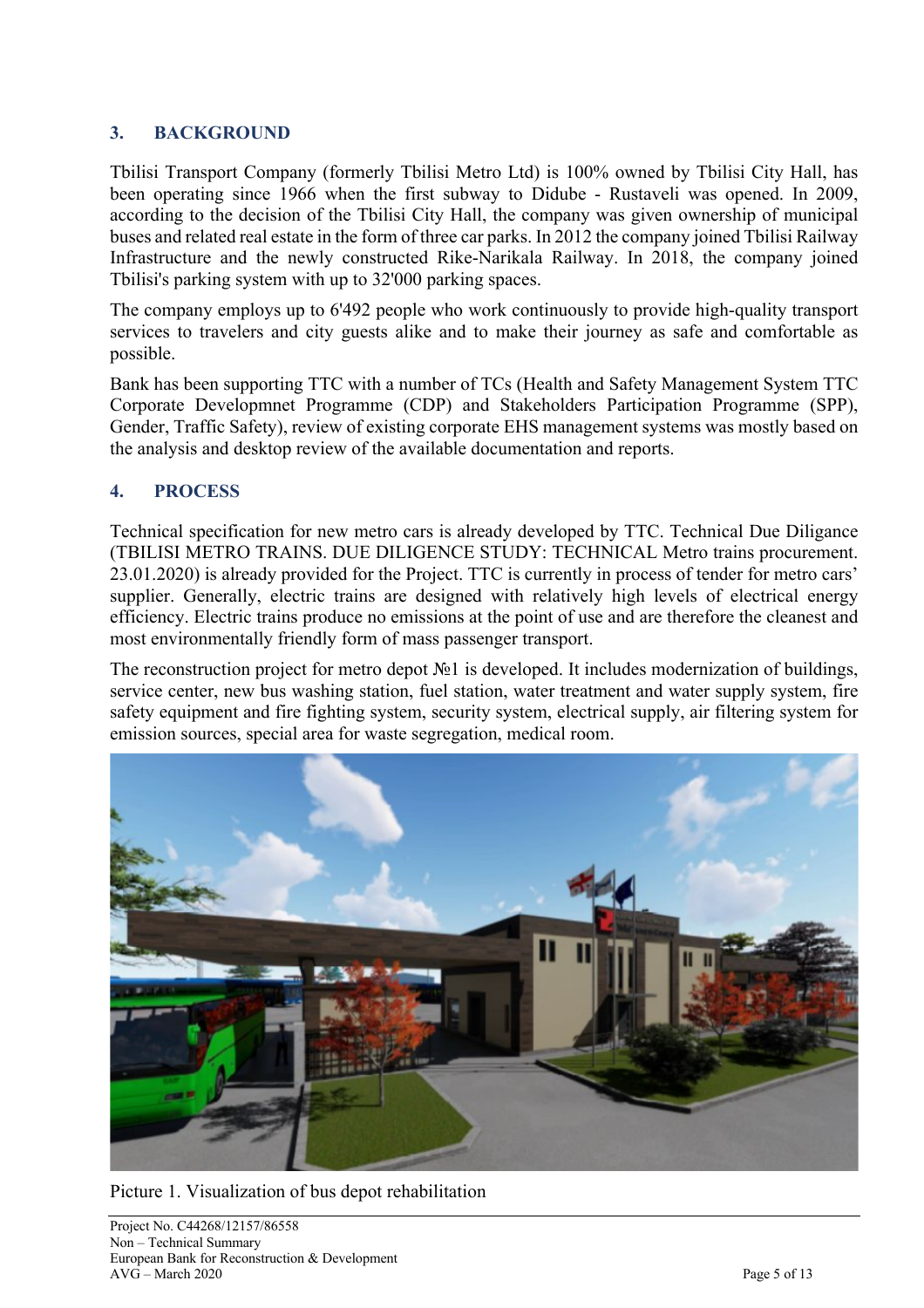#### **3. BACKGROUND**

Tbilisi Transport Company (formerly Tbilisi Metro Ltd) is 100% owned by Tbilisi City Hall, has been operating since 1966 when the first subway to Didube - Rustaveli was opened. In 2009, according to the decision of the Tbilisi City Hall, the company was given ownership of municipal buses and related real estate in the form of three car parks. In 2012 the company joined Tbilisi Railway Infrastructure and the newly constructed Rike-Narikala Railway. In 2018, the company joined Tbilisi's parking system with up to 32'000 parking spaces.

The company employs up to 6'492 people who work continuously to provide high-quality transport services to travelers and city guests alike and to make their journey as safe and comfortable as possible.

Bank has been supporting TTC with a number of TCs (Health and Safety Management System TTC Corporate Developmnet Programme (CDP) and Stakeholders Participation Programme (SPP), Gender, Traffic Safety), review of existing corporate EHS management systems was mostly based on the analysis and desktop review of the available documentation and reports.

#### **4. PROCESS**

Technical specification for new metro cars is already developed by TTC. Technical Due Diligance (TBILISI METRO TRAINS. DUE DILIGENCE STUDY: TECHNICAL Metro trains procurement. 23.01.2020) is already provided for the Project. TTC is currently in process of tender for metro cars' supplier. Generally, electric trains are designed with relatively high levels of electrical energy efficiency. Electric trains produce no emissions at the point of use and are therefore the cleanest and most environmentally friendly form of mass passenger transport.

The reconstruction project for metro depot №1 is developed. It includes modernization of buildings, service center, new bus washing station, fuel station, water treatment and water supply system, fire safety equipment and fire fighting system, security system, electrical supply, air filtering system for emission sources, special area for waste segregation, medical room.



Picture 1. Visualization of bus depot rehabilitation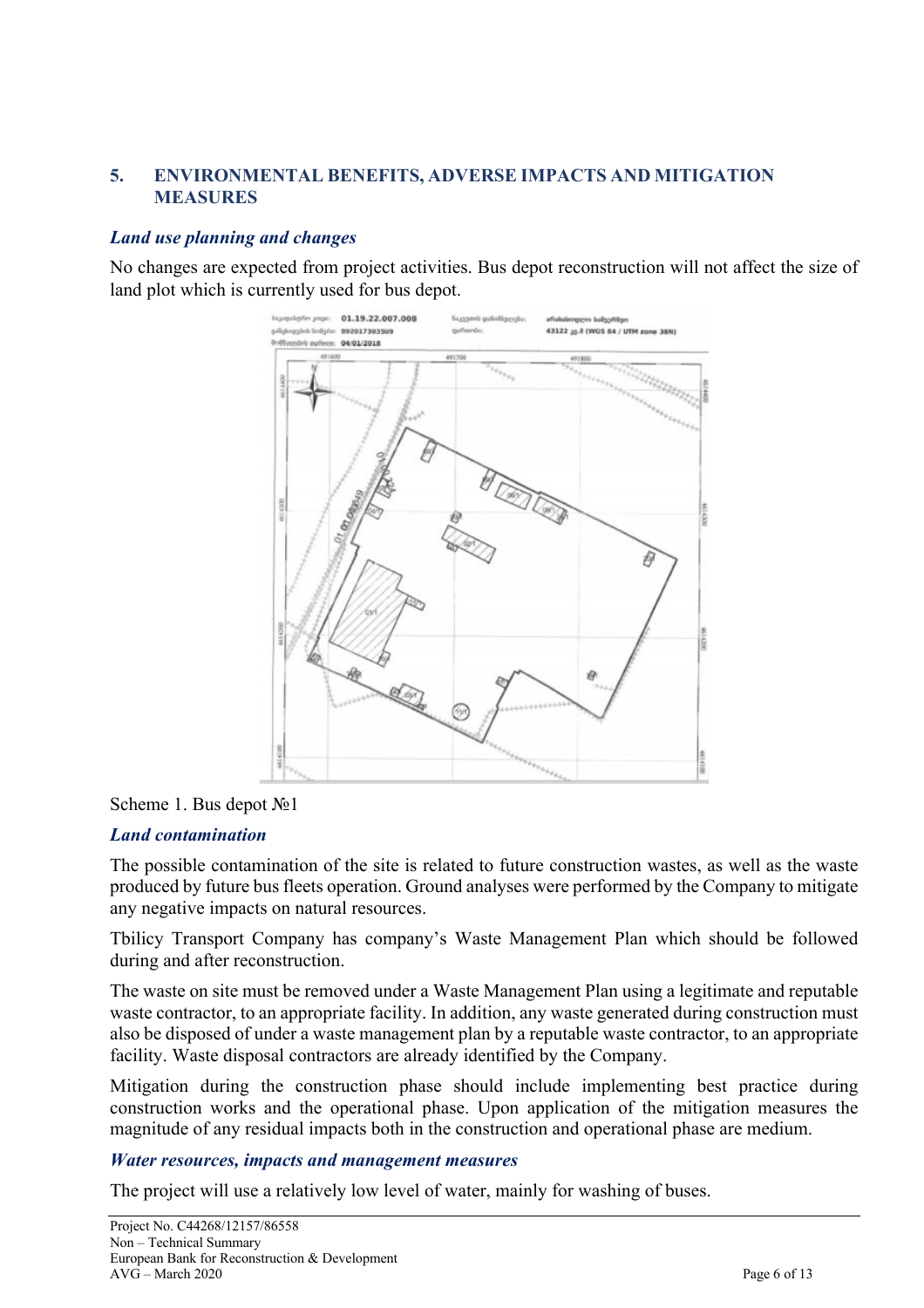#### **5. ENVIRONMENTAL BENEFITS, ADVERSE IMPACTS AND MITIGATION MEASURES**

#### *Land use planning and changes*

No changes are expected from project activities. Bus depot reconstruction will not affect the size of land plot which is currently used for bus depot.



#### Scheme 1. Bus depot №1

#### *Land contamination*

The possible contamination of the site is related to future construction wastes, as well as the waste produced by future bus fleets operation. Ground analyses were performed by the Company to mitigate any negative impacts on natural resources.

Tbilicy Transport Company has company's Waste Management Plan which should be followed during and after reconstruction.

The waste on site must be removed under a Waste Management Plan using a legitimate and reputable waste contractor, to an appropriate facility. In addition, any waste generated during construction must also be disposed of under a waste management plan by a reputable waste contractor, to an appropriate facility. Waste disposal contractors are already identified by the Company.

Mitigation during the construction phase should include implementing best practice during construction works and the operational phase. Upon application of the mitigation measures the magnitude of any residual impacts both in the construction and operational phase are medium.

#### *Water resources, impacts and management measures*

The project will use a relatively low level of water, mainly for washing of buses.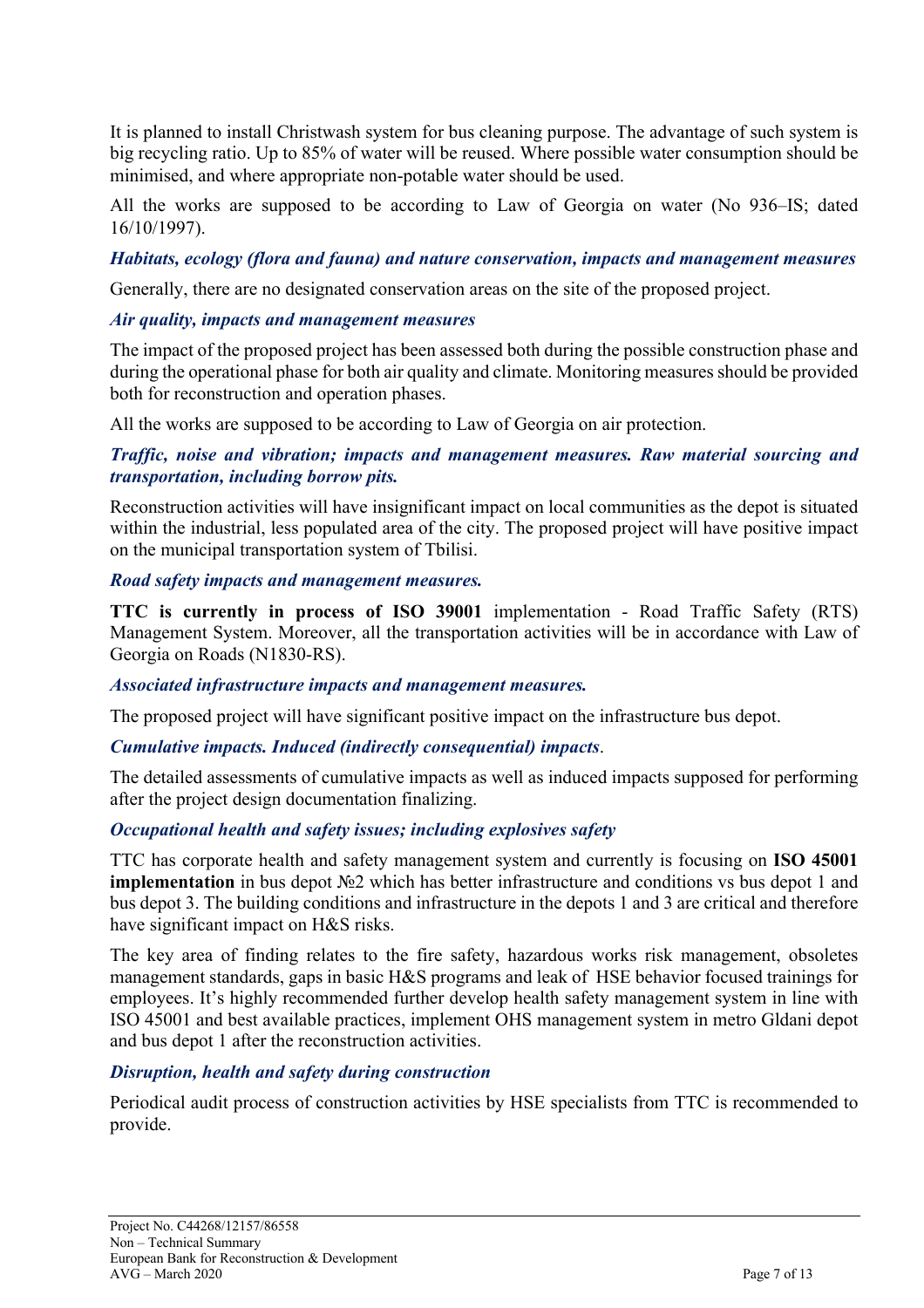It is planned to install Christwash system for bus cleaning purpose. The advantage of such system is big recycling ratio. Up to 85% of water will be reused. Where possible water consumption should be minimised, and where appropriate non-potable water should be used.

All the works are supposed to be according to Law of Georgia on water (No 936–IS; dated 16/10/1997).

#### *Habitats, ecology (flora and fauna) and nature conservation, impacts and management measures*

Generally, there are no designated conservation areas on the site of the proposed project.

#### *Air quality, impacts and management measures*

The impact of the proposed project has been assessed both during the possible construction phase and during the operational phase for both air quality and climate. Monitoring measures should be provided both for reconstruction and operation phases.

All the works are supposed to be according to Law of Georgia on air protection.

#### *Traffic, noise and vibration; impacts and management measures. Raw material sourcing and transportation, including borrow pits.*

Reconstruction activities will have insignificant impact on local communities as the depot is situated within the industrial, less populated area of the city. The proposed project will have positive impact on the municipal transportation system of Tbilisi.

#### *Road safety impacts and management measures.*

**TTC is currently in process of ISO 39001** implementation - Road Traffic Safety (RTS) Management System. Moreover, all the transportation activities will be in accordance with Law of Georgia on Roads (N1830-RS).

#### *Associated infrastructure impacts and management measures.*

The proposed project will have significant positive impact on the infrastructure bus depot.

#### *Cumulative impacts. Induced (indirectly consequential) impacts*.

The detailed assessments of cumulative impacts as well as induced impacts supposed for performing after the project design documentation finalizing.

#### *Occupational health and safety issues; including explosives safety*

TTC has corporate health and safety management system and currently is focusing on **ISO 45001 implementation** in bus depot №2 which has better infrastructure and conditions vs bus depot 1 and bus depot 3. The building conditions and infrastructure in the depots 1 and 3 are critical and therefore have significant impact on H&S risks.

The key area of finding relates to the fire safety, hazardous works risk management, obsoletes management standards, gaps in basic H&S programs and leak of HSE behavior focused trainings for employees. It's highly recommended further develop health safety management system in line with ISO 45001 and best available practices, implement OHS management system in metro Gldani depot and bus depot 1 after the reconstruction activities.

#### *Disruption, health and safety during construction*

Periodical audit process of construction activities by HSE specialists from TTC is recommended to provide.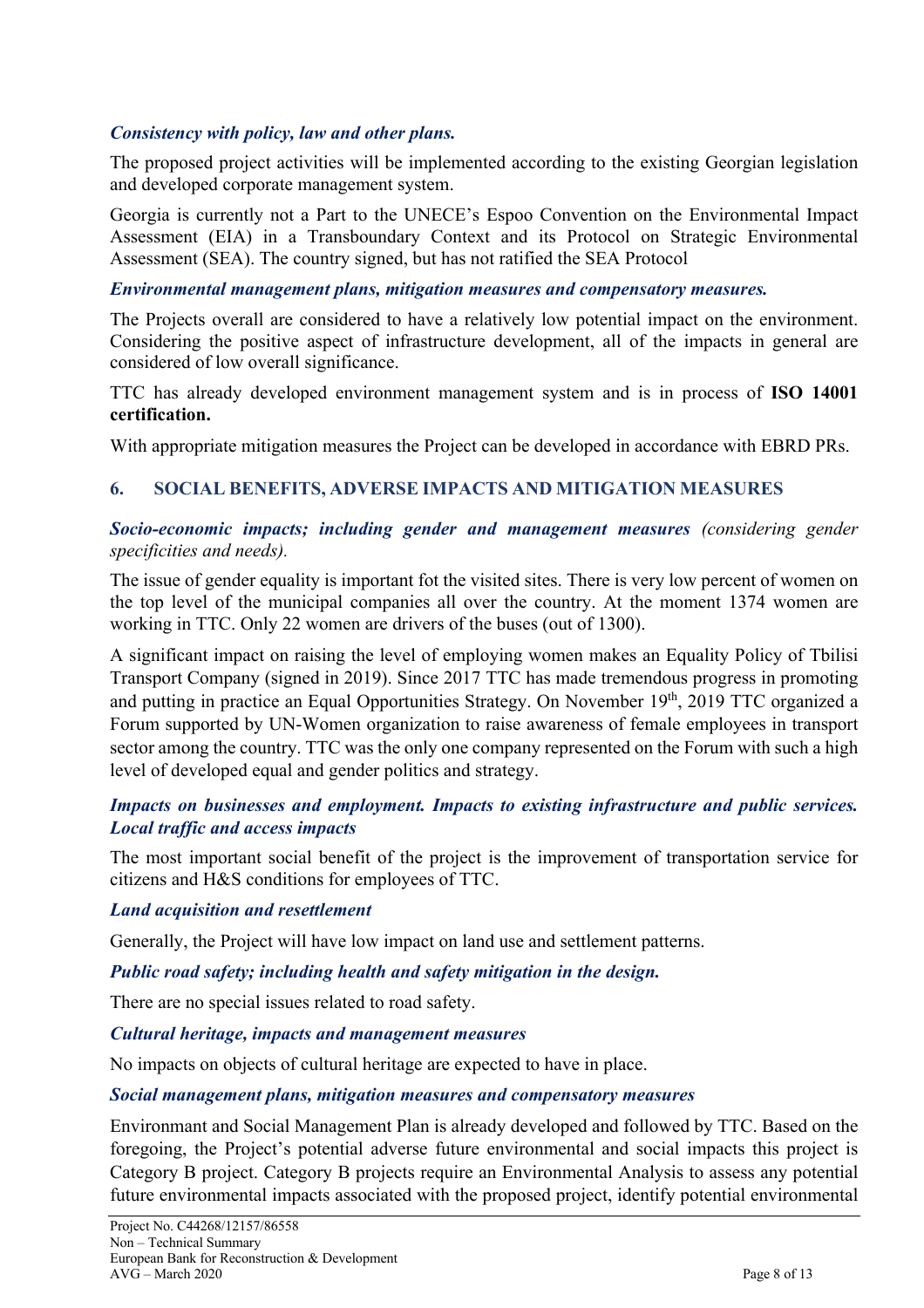#### *Consistency with policy, law and other plans.*

The proposed project activities will be implemented according to the existing Georgian legislation and developed corporate management system.

Georgia is currently not a Part to the UNECE's Espoo Convention on the Environmental Impact Assessment (EIA) in a Transboundary Context and its Protocol on Strategic Environmental Assessment (SEA). The country signed, but has not ratified the SEA Protocol

#### *Environmental management plans, mitigation measures and compensatory measures.*

The Projects overall are considered to have a relatively low potential impact on the environment. Considering the positive aspect of infrastructure development, all of the impacts in general are considered of low overall significance.

TTC has already developed environment management system and is in process of **ISO 14001 certification.**

With appropriate mitigation measures the Project can be developed in accordance with EBRD PRs.

#### **6. SOCIAL BENEFITS, ADVERSE IMPACTS AND MITIGATION MEASURES**

#### *Socio-economic impacts; including gender and management measures (considering gender specificities and needs).*

The issue of gender equality is important fot the visited sites. There is very low percent of women on the top level of the municipal companies all over the country. At the moment 1374 women are working in TTC. Only 22 women are drivers of the buses (out of 1300).

A significant impact on raising the level of employing women makes an Equality Policy of Tbilisi Transport Company (signed in 2019). Since 2017 TTC has made tremendous progress in promoting and putting in practice an Equal Opportunities Strategy. On November 19th, 2019 TTC organized a Forum supported by UN-Women organization to raise awareness of female employees in transport sector among the country. TTC was the only one company represented on the Forum with such a high level of developed equal and gender politics and strategy.

#### *Impacts on businesses and employment. Impacts to existing infrastructure and public services. Local traffic and access impacts*

The most important social benefit of the project is the improvement of transportation service for citizens and H&S conditions for employees of TTC.

#### *Land acquisition and resettlement*

Generally, the Project will have low impact on land use and settlement patterns.

#### *Public road safety; including health and safety mitigation in the design.*

There are no special issues related to road safety.

#### *Cultural heritage, impacts and management measures*

No impacts on objects of cultural heritage are expected to have in place.

#### *Social management plans, mitigation measures and compensatory measures*

Environmant and Social Management Plan is already developed and followed by TTC. Based on the foregoing, the Project's potential adverse future environmental and social impacts this project is Category B project. Category B projects require an Environmental Analysis to assess any potential future environmental impacts associated with the proposed project, identify potential environmental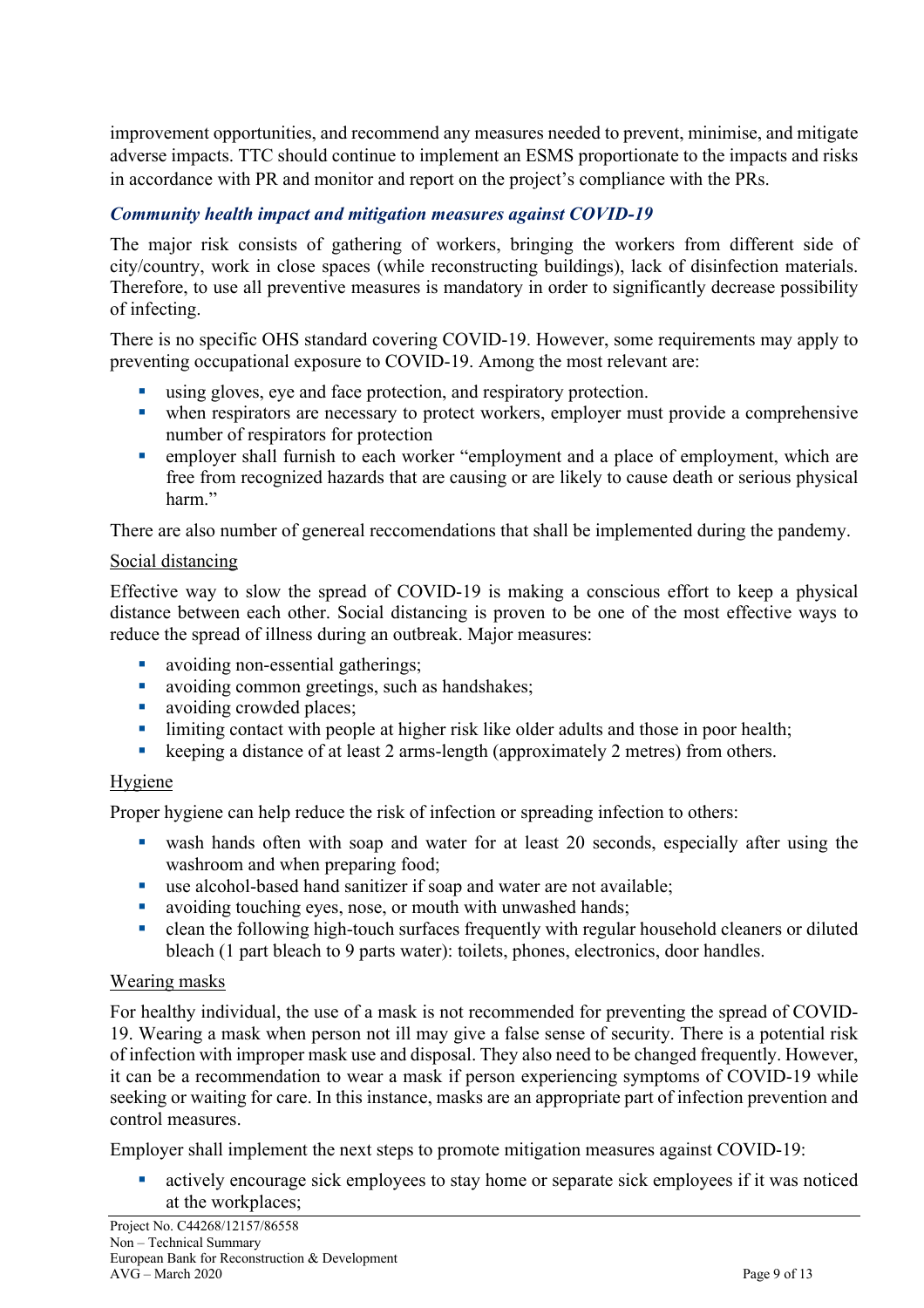improvement opportunities, and recommend any measures needed to prevent, minimise, and mitigate adverse impacts. TTC should continue to implement an ESMS proportionate to the impacts and risks in accordance with PR and monitor and report on the project's compliance with the PRs.

#### *Community health impact and mitigation measures against COVID-19*

The major risk consists of gathering of workers, bringing the workers from different side of city/country, work in close spaces (while reconstructing buildings), lack of disinfection materials. Therefore, to use all preventive measures is mandatory in order to significantly decrease possibility of infecting.

There is no specific OHS standard covering COVID-19. However, some requirements may apply to preventing occupational exposure to COVID-19. Among the most relevant are:

- using gloves, eye and face protection, and respiratory protection.
- when respirators are necessary to protect workers, employer must provide a comprehensive number of respirators for protection
- employer shall furnish to each worker "employment and a place of employment, which are free from recognized hazards that are causing or are likely to cause death or serious physical harm."

There are also number of genereal reccomendations that shall be implemented during the pandemy.

#### Social distancing

Effective way to slow the spread of COVID-19 is making a conscious effort to keep a physical distance between each other. Social distancing is proven to be one of the most effective ways to reduce the spread of illness during an outbreak. Major measures:

- avoiding non-essential gatherings;
- avoiding common greetings, such as handshakes;
- avoiding crowded places;
- limiting contact with people at higher risk like older adults and those in poor health;
- keeping a distance of at least 2 arms-length (approximately 2 metres) from others.

#### **Hygiene**

Proper hygiene can help reduce the risk of infection or spreading infection to others:

- wash hands often with soap and water for at least 20 seconds, especially after using the washroom and when preparing food;
- use alcohol-based hand sanitizer if soap and water are not available;
- avoiding touching eyes, nose, or mouth with unwashed hands;
- clean the following high-touch surfaces frequently with regular household cleaners or diluted bleach (1 part bleach to 9 parts water): toilets, phones, electronics, door handles.

#### Wearing masks

For healthy individual, the use of a mask is not recommended for preventing the spread of COVID-19. Wearing a mask when person not ill may give a false sense of security. There is a potential risk of infection with improper mask use and disposal. They also need to be changed frequently. However, it can be a recommendation to wear a mask if person experiencing symptoms of COVID-19 while seeking or waiting for care. In this instance, masks are an appropriate part of infection prevention and control measures.

Employer shall implement the next steps to promote mitigation measures against COVID-19:

• actively encourage sick employees to stay home or separate sick employees if it was noticed at the workplaces;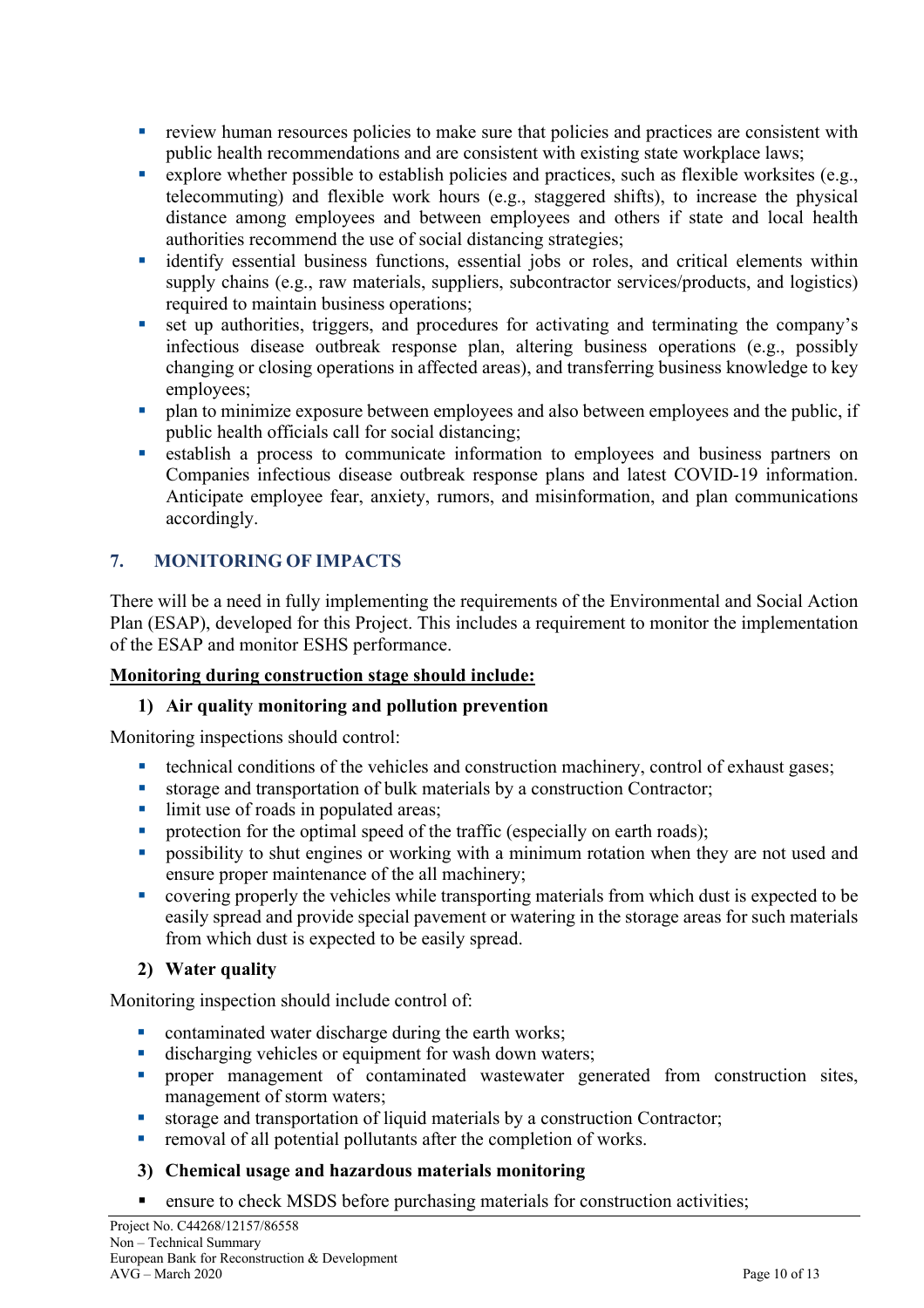- **•** review human resources policies to make sure that policies and practices are consistent with public health recommendations and are consistent with existing state workplace laws;
- explore whether possible to establish policies and practices, such as flexible worksites (e.g., telecommuting) and flexible work hours (e.g., staggered shifts), to increase the physical distance among employees and between employees and others if state and local health authorities recommend the use of social distancing strategies;
- identify essential business functions, essential jobs or roles, and critical elements within supply chains (e.g., raw materials, suppliers, subcontractor services/products, and logistics) required to maintain business operations;
- set up authorities, triggers, and procedures for activating and terminating the company's infectious disease outbreak response plan, altering business operations (e.g., possibly changing or closing operations in affected areas), and transferring business knowledge to key employees;
- plan to minimize exposure between employees and also between employees and the public, if public health officials call for social distancing;
- establish a process to communicate information to employees and business partners on Companies infectious disease outbreak response plans and latest COVID-19 information. Anticipate employee fear, anxiety, rumors, and misinformation, and plan communications accordingly.

## **7. MONITORING OF IMPACTS**

There will be a need in fully implementing the requirements of the Environmental and Social Action Plan (ESAP), developed for this Project. This includes a requirement to monitor the implementation of the ESAP and monitor ESHS performance.

#### **Monitoring during construction stage should include:**

#### **1) Air quality monitoring and pollution prevention**

Monitoring inspections should control:

- technical conditions of the vehicles and construction machinery, control of exhaust gases;
- storage and transportation of bulk materials by a construction Contractor;
- limit use of roads in populated areas;<br>• protection for the optimal speed of the
- § protection for the optimal speed of the traffic (especially on earth roads);
- possibility to shut engines or working with a minimum rotation when they are not used and ensure proper maintenance of the all machinery;
- covering properly the vehicles while transporting materials from which dust is expected to be easily spread and provide special pavement or watering in the storage areas for such materials from which dust is expected to be easily spread.

#### **2) Water quality**

Monitoring inspection should include control of:

- contaminated water discharge during the earth works;
- **•** discharging vehicles or equipment for wash down waters;
- § proper management of contaminated wastewater generated from construction sites, management of storm waters;
- storage and transportation of liquid materials by a construction Contractor;
- removal of all potential pollutants after the completion of works.

#### **3) Chemical usage and hazardous materials monitoring**

■ ensure to check MSDS before purchasing materials for construction activities;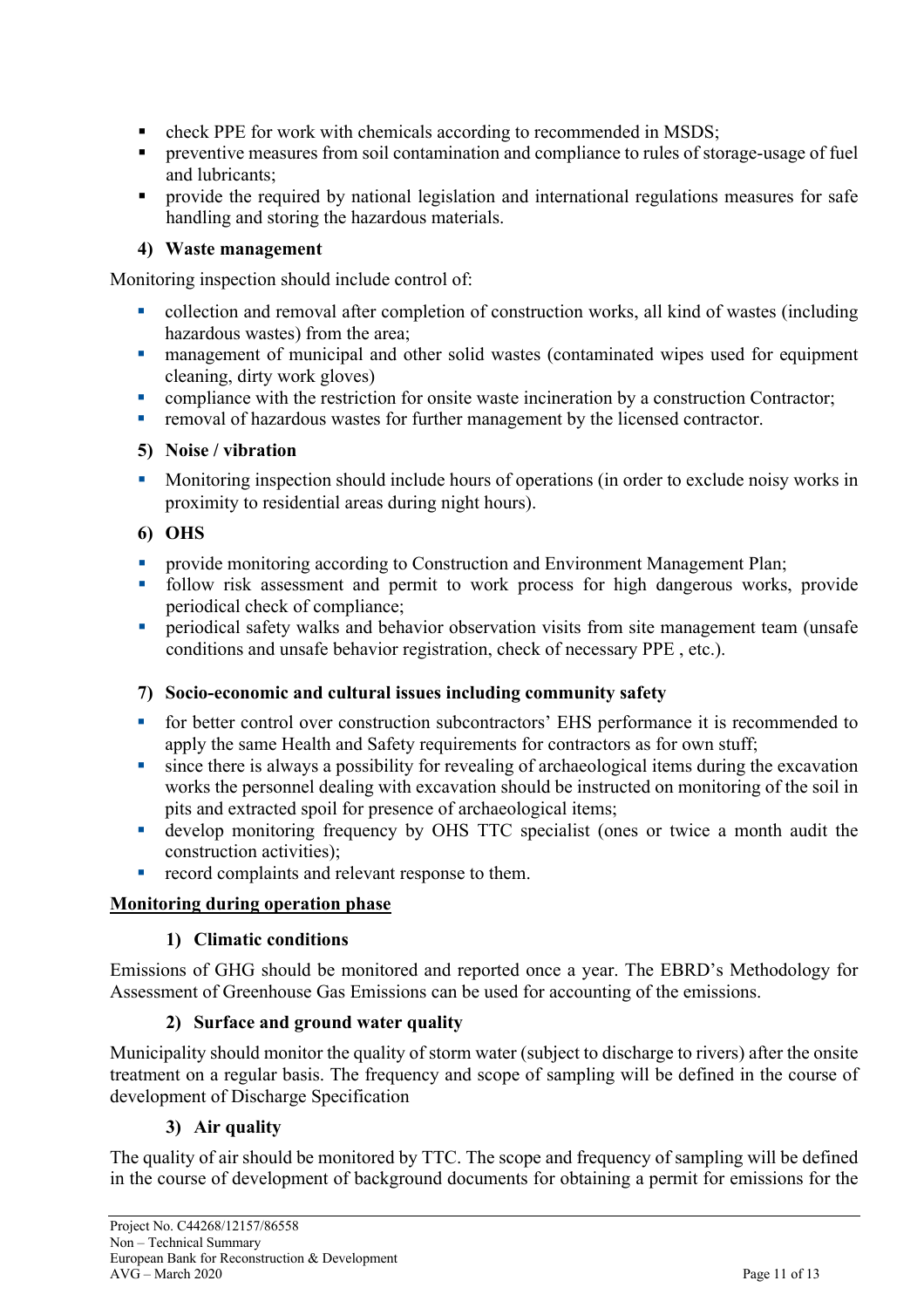- check PPE for work with chemicals according to recommended in MSDS;
- § preventive measures from soil contamination and compliance to rules of storage-usage of fuel and lubricants;
- provide the required by national legislation and international regulations measures for safe handling and storing the hazardous materials.

## **4) Waste management**

Monitoring inspection should include control of:

- collection and removal after completion of construction works, all kind of wastes (including hazardous wastes) from the area;
- management of municipal and other solid wastes (contaminated wipes used for equipment cleaning, dirty work gloves)
- compliance with the restriction for onsite waste incineration by a construction Contractor;
- removal of hazardous wastes for further management by the licensed contractor.

## **5) Noise / vibration**

• Monitoring inspection should include hours of operations (in order to exclude noisy works in proximity to residential areas during night hours).

## **6) OHS**

- provide monitoring according to Construction and Environment Management Plan;
- follow risk assessment and permit to work process for high dangerous works, provide periodical check of compliance;
- periodical safety walks and behavior observation visits from site management team (unsafe conditions and unsafe behavior registration, check of necessary PPE , etc.).

## **7) Socio-economic and cultural issues including community safety**

- for better control over construction subcontractors' EHS performance it is recommended to apply the same Health and Safety requirements for contractors as for own stuff;
- since there is always a possibility for revealing of archaeological items during the excavation works the personnel dealing with excavation should be instructed on monitoring of the soil in pits and extracted spoil for presence of archaeological items;
- develop monitoring frequency by OHS TTC specialist (ones or twice a month audit the construction activities);
- **•** record complaints and relevant response to them.

## **Monitoring during operation phase**

## **1) Climatic conditions**

Emissions of GHG should be monitored and reported once a year. The EBRD's Methodology for Assessment of Greenhouse Gas Emissions can be used for accounting of the emissions.

## **2) Surface and ground water quality**

Municipality should monitor the quality of storm water (subject to discharge to rivers) after the onsite treatment on a regular basis. The frequency and scope of sampling will be defined in the course of development of Discharge Specification

## **3) Air quality**

The quality of air should be monitored by TTC. The scope and frequency of sampling will be defined in the course of development of background documents for obtaining a permit for emissions for the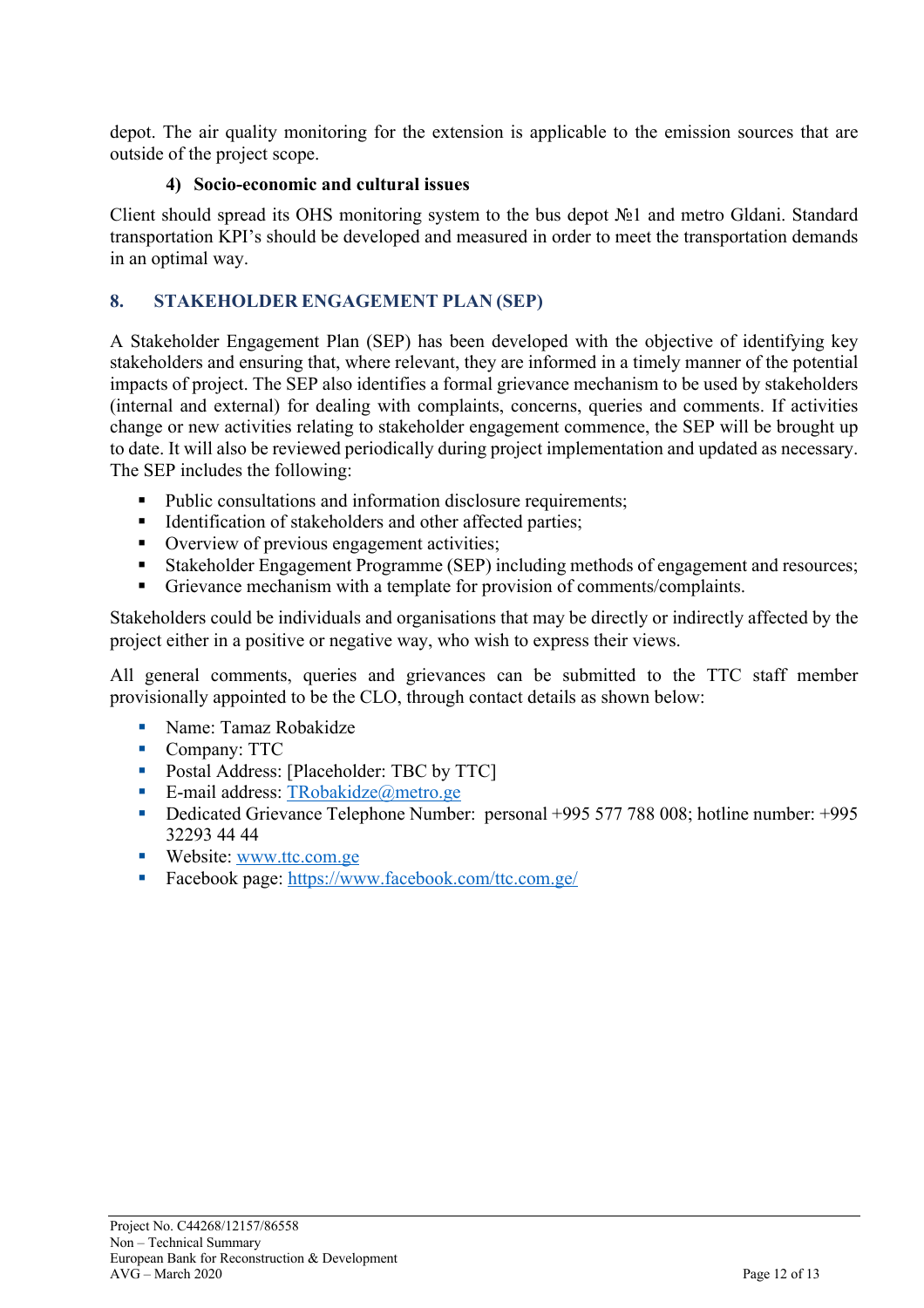depot. The air quality monitoring for the extension is applicable to the emission sources that are outside of the project scope.

#### **4) Socio-economic and cultural issues**

Client should spread its OHS monitoring system to the bus depot №1 and metro Gldani. Standard transportation KPI's should be developed and measured in order to meet the transportation demands in an optimal way.

#### **8. STAKEHOLDER ENGAGEMENT PLAN (SEP)**

A Stakeholder Engagement Plan (SEP) has been developed with the objective of identifying key stakeholders and ensuring that, where relevant, they are informed in a timely manner of the potential impacts of project. The SEP also identifies a formal grievance mechanism to be used by stakeholders (internal and external) for dealing with complaints, concerns, queries and comments. If activities change or new activities relating to stakeholder engagement commence, the SEP will be brought up to date. It will also be reviewed periodically during project implementation and updated as necessary. The SEP includes the following:

- Public consultations and information disclosure requirements;
- Identification of stakeholders and other affected parties;
- Overview of previous engagement activities;
- Stakeholder Engagement Programme (SEP) including methods of engagement and resources;
- Grievance mechanism with a template for provision of comments/complaints.

Stakeholders could be individuals and organisations that may be directly or indirectly affected by the project either in a positive or negative way, who wish to express their views.

All general comments, queries and grievances can be submitted to the TTC staff member provisionally appointed to be the CLO, through contact details as shown below:

- Name: Tamaz Robakidze
- Company: TTC
- Postal Address: [Placeholder: TBC by TTC]
- E-mail address: TRobakidze@metro.ge
- Dedicated Grievance Telephone Number: personal +995 577 788 008; hotline number: +995 32293 44 44
- Website: www.ttc.com.ge
- Facebook page: https://www.facebook.com/ttc.com.ge/